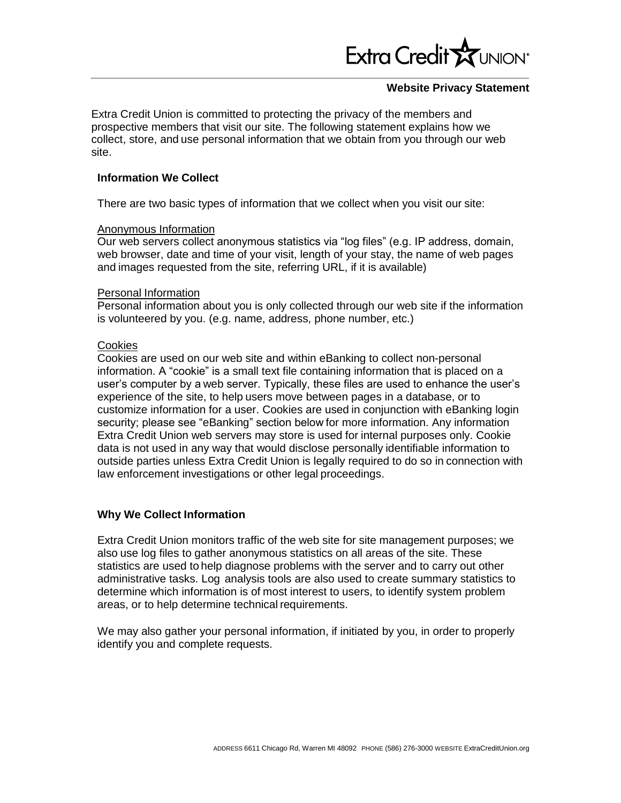

### **Website Privacy Statement**

Extra Credit Union is committed to protecting the privacy of the members and prospective members that visit our site. The following statement explains how we collect, store, and use personal information that we obtain from you through our web site.

### **Information We Collect**

There are two basic types of information that we collect when you visit our site:

#### Anonymous Information

Our web servers collect anonymous statistics via "log files" (e.g. IP address, domain, web browser, date and time of your visit, length of your stay, the name of web pages and images requested from the site, referring URL, if it is available)

#### Personal Information

Personal information about you is only collected through our web site if the information is volunteered by you. (e.g. name, address, phone number, etc.)

# **Cookies**

Cookies are used on our web site and within eBanking to collect non-personal information. A "cookie" is a small text file containing information that is placed on a user's computer by a web server. Typically, these files are used to enhance the user's experience of the site, to help users move between pages in a database, or to customize information for a user. Cookies are used in conjunction with eBanking login security; please see "eBanking" section below for more information. Any information Extra Credit Union web servers may store is used for internal purposes only. Cookie data is not used in any way that would disclose personally identifiable information to outside parties unless Extra Credit Union is legally required to do so in connection with law enforcement investigations or other legal proceedings.

# **Why We Collect Information**

Extra Credit Union monitors traffic of the web site for site management purposes; we also use log files to gather anonymous statistics on all areas of the site. These statistics are used to help diagnose problems with the server and to carry out other administrative tasks. Log analysis tools are also used to create summary statistics to determine which information is of most interest to users, to identify system problem areas, or to help determine technical requirements.

We may also gather your personal information, if initiated by you, in order to properly identify you and complete requests.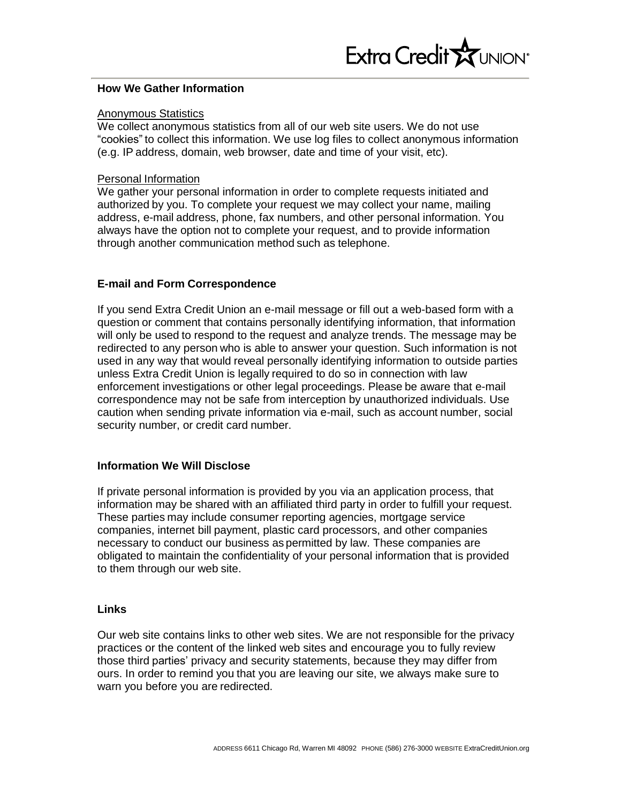### **How We Gather Information**

### Anonymous Statistics

We collect anonymous statistics from all of our web site users. We do not use "cookies" to collect this information. We use log files to collect anonymous information (e.g. IP address, domain, web browser, date and time of your visit, etc).

### Personal Information

We gather your personal information in order to complete requests initiated and authorized by you. To complete your request we may collect your name, mailing address, e-mail address, phone, fax numbers, and other personal information. You always have the option not to complete your request, and to provide information through another communication method such as telephone.

# **E-mail and Form Correspondence**

If you send Extra Credit Union an e-mail message or fill out a web-based form with a question or comment that contains personally identifying information, that information will only be used to respond to the request and analyze trends. The message may be redirected to any person who is able to answer your question. Such information is not used in any way that would reveal personally identifying information to outside parties unless Extra Credit Union is legally required to do so in connection with law enforcement investigations or other legal proceedings. Please be aware that e-mail correspondence may not be safe from interception by unauthorized individuals. Use caution when sending private information via e-mail, such as account number, social security number, or credit card number.

# **Information We Will Disclose**

If private personal information is provided by you via an application process, that information may be shared with an affiliated third party in order to fulfill your request. These parties may include consumer reporting agencies, mortgage service companies, internet bill payment, plastic card processors, and other companies necessary to conduct our business as permitted by law. These companies are obligated to maintain the confidentiality of your personal information that is provided to them through our web site.

# **Links**

Our web site contains links to other web sites. We are not responsible for the privacy practices or the content of the linked web sites and encourage you to fully review those third parties' privacy and security statements, because they may differ from ours. In order to remind you that you are leaving our site, we always make sure to warn you before you are redirected.